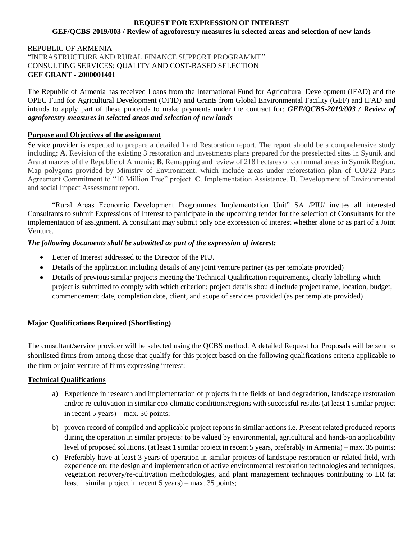#### **REQUEST FOR EXPRESSION OF INTEREST GEF/QCBS-2019/003 / Review of agroforestry measures in selected areas and selection of new lands**

## REPUBLIC OF ARMENIA "INFRASTRUCTURE AND RURAL FINANCE SUPPORT PROGRAMME" CONSULTING SERVICES; QUALITY AND COST-BASED SELECTION **GEF GRANT - 2000001401**

The Republic of Armenia has received Loans from the International Fund for Agricultural Development (IFAD) and the OPEC Fund for Agricultural Development (OFID) and Grants from Global Environmental Facility (GEF) and IFAD and intends to apply part of these proceeds to make payments under the contract for: *GEF/QCBS-2019/003 / Review of agroforestry measures in selected areas and selection of new lands*

### **Purpose and Objectives of the assignment**

Service provider is expected to prepare a detailed Land Restoration report. The report should be a comprehensive study including: **A**. Revision of the existing 3 restoration and investments plans prepared for the preselected sites in Syunik and Ararat marzes of the Republic of Armenia; **B**. Remapping and review of 218 hectares of communal areas in Syunik Region. Map polygons provided by Ministry of Environment, which include areas under reforestation plan of COP22 Paris Agreement Commitment to "10 Million Tree" project. **C**. Implementation Assistance. **D**. Development of Environmental and social Impact Assessment report.

"Rural Areas Economic Development Programmes Implementation Unit" SA /PIU/ invites all interested Consultants to submit Expressions of Interest to participate in the upcoming tender for the selection of Consultants for the implementation of assignment. A consultant may submit only one expression of interest whether alone or as part of a Joint Venture.

### *The following documents shall be submitted as part of the expression of interest:*

- Letter of Interest addressed to the Director of the PIU.
- Details of the application including details of any joint venture partner (as per template provided)
- Details of previous similar projects meeting the Technical Qualification requirements, clearly labelling which project is submitted to comply with which criterion; project details should include project name, location, budget, commencement date, completion date, client, and scope of services provided (as per template provided)

# **Major Qualifications Required (Shortlisting)**

The consultant/service provider will be selected using the QCBS method. A detailed Request for Proposals will be sent to shortlisted firms from among those that qualify for this project based on the following qualifications criteria applicable to the firm or joint venture of firms expressing interest:

# **Technical Qualifications**

- a) Experience in research and implementation of projects in the fields of land degradation, landscape restoration and/or re-cultivation in similar eco-climatic conditions/regions with successful results (at least 1 similar project in recent 5 years) – max. 30 points;
- b) proven record of compiled and applicable project reports in similar actions i.e. Present related produced reports during the operation in similar projects: to be valued by environmental, agricultural and hands-on applicability level of proposed solutions. (at least 1 similar project in recent 5 years, preferably in Armenia) – max. 35 points;
- c) Preferably have at least 3 years of operation in similar projects of landscape restoration or related field, with experience on: the design and implementation of active environmental restoration technologies and techniques, vegetation recovery/re-cultivation methodologies, and plant management techniques contributing to LR (at least 1 similar project in recent 5 years) – max. 35 points;